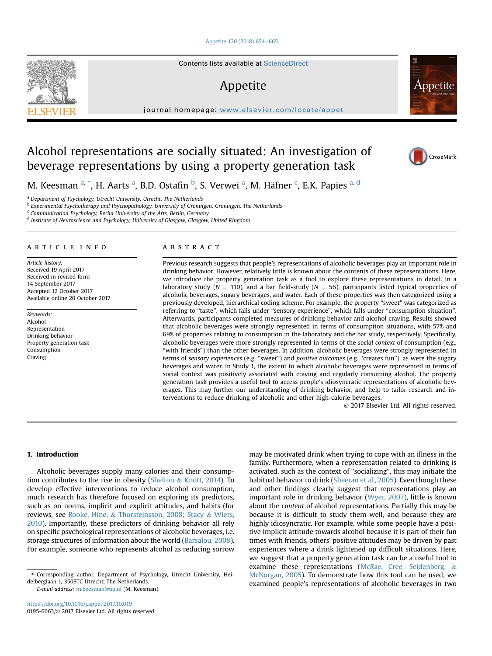### [Appetite 120 \(2018\) 654](https://doi.org/10.1016/j.appet.2017.10.019)-[665](https://doi.org/10.1016/j.appet.2017.10.019)

Contents lists available at ScienceDirect

# Appetite

journal homepage: <www.elsevier.com/locate/appet>



M. Keesman <sup>a, \*</sup>, H. Aarts <sup>a</sup>, B.D. Ostafin <sup>b</sup>, S. Verwei <sup>a</sup>, M. Häfner <sup>c</sup>, E.K. Papies <sup>a, d</sup>

<sup>a</sup> Department of Psychology, Utrecht University, Utrecht, The Netherlands

**b Experimental Psychotherapy and Psychopathology, University of Groningen, Groningen, The Netherlands** 

<sup>c</sup> Communication Psychology, Berlin University of the Arts, Berlin, Germany

<sup>d</sup> Institute of Neuroscience and Psychology, University of Glasgow, Glasgow, United Kingdom

#### article info

Article history: Received 19 April 2017 Received in revised form 14 September 2017 Accepted 12 October 2017 Available online 20 October 2017

Keywords: Alcohol Representation Drinking behavior Property generation task Consumption Craving

# ABSTRACT

Previous research suggests that people's representations of alcoholic beverages play an important role in drinking behavior. However, relatively little is known about the contents of these representations. Here, we introduce the property generation task as a tool to explore these representations in detail. In a laboratory study ( $N = 110$ ), and a bar field-study ( $N = 56$ ), participants listed typical properties of alcoholic beverages, sugary beverages, and water. Each of these properties was then categorized using a previously developed, hierarchical coding scheme. For example, the property "sweet" was categorized as referring to "taste", which falls under "sensory experience", which falls under "consumption situation". Afterwards, participants completed measures of drinking behavior and alcohol craving. Results showed that alcoholic beverages were strongly represented in terms of consumption situations, with 57% and 69% of properties relating to consumption in the laboratory and the bar study, respectively. Specifically, alcoholic beverages were more strongly represented in terms of the social context of consumption (e.g., "with friends") than the other beverages. In addition, alcoholic beverages were strongly represented in terms of sensory experiences (e.g. "sweet") and positive outcomes (e.g. "creates fun"), as were the sugary beverages and water. In Study 1, the extent to which alcoholic beverages were represented in terms of social context was positively associated with craving and regularly consuming alcohol. The property generation task provides a useful tool to access people's idiosyncratic representations of alcoholic beverages. This may further our understanding of drinking behavior, and help to tailor research and interventions to reduce drinking of alcoholic and other high-calorie beverages.

© 2017 Elsevier Ltd. All rights reserved.

### 1. Introduction

Alcoholic beverages supply many calories and their consumption contributes to the rise in obesity [\(Shelton](#page-11-0) & [Knott, 2014](#page-11-0)). To develop effective interventions to reduce alcohol consumption, much research has therefore focused on exploring its predictors, such as on norms, implicit and explicit attitudes, and habits (for reviews, see [Rooke, Hine,](#page-11-0) & [Thorsteinsson, 2008; Stacy](#page-11-0) & [Wiers,](#page-11-0) [2010](#page-11-0)). Importantly, these predictors of drinking behavior all rely on specific psychological representations of alcoholic beverages, i.e. storage structures of information about the world [\(Barsalou, 2008\)](#page-10-0). For example, someone who represents alcohol as reducing sorrow

E-mail address: [m.keesman@uu.nl](mailto:m.keesman@uu.nl) (M. Keesman).

may be motivated drink when trying to cope with an illness in the family. Furthermore, when a representation related to drinking is activated, such as the context of "socializing", this may initiate the habitual behavior to drink ([Sheeran et al., 2005\)](#page-11-0). Even though these and other findings clearly suggest that representations play an important role in drinking behavior [\(Wyer, 2007](#page-11-0)), little is known about the content of alcohol representations. Partially this may be because it is difficult to study them well, and because they are highly idiosyncratic. For example, while some people have a positive implicit attitude towards alcohol because it is part of their fun times with friends, others' positive attitudes may be driven by past experiences where a drink lightened up difficult situations. Here, we suggest that a property generation task can be a useful tool to examine these representations [\(McRae, Cree, Seidenberg,](#page-11-0) & [McNorgan, 2005](#page-11-0)). To demonstrate how this tool can be used, we examined people's representations of alcoholic beverages in two





<sup>\*</sup> Corresponding author. Department of Psychology, Utrecht University, Heidelberglaan 1, 3508TC Utrecht, The Netherlands.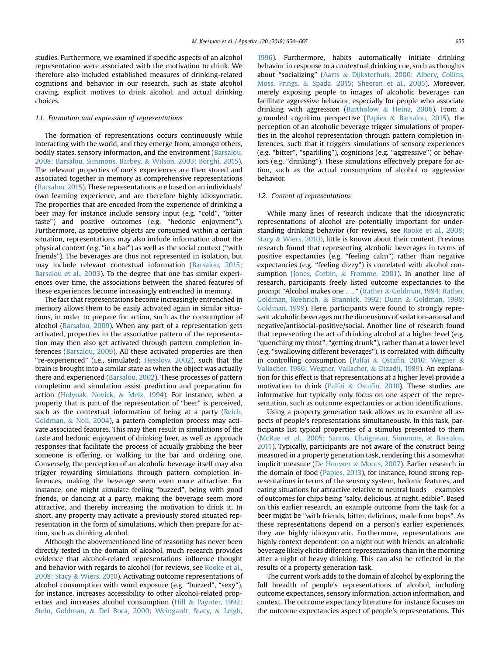studies. Furthermore, we examined if specific aspects of an alcohol representation were associated with the motivation to drink. We therefore also included established measures of drinking-related cognitions and behavior in our research, such as state alcohol craving, explicit motives to drink alcohol, and actual drinking choices.

### 1.1. Formation and expression of representations

The formation of representations occurs continuously while interacting with the world, and they emerge from, amongst others, bodily states, sensory information, and the environment [\(Barsalou,](#page-10-0) [2008; Barsalou, Simmons, Barbey,](#page-10-0) & [Wilson, 2003; Borghi, 2015\)](#page-10-0). The relevant properties of one's experiences are then stored and associated together in memory as comprehensive representations ([Barsalou, 2015\)](#page-10-0). These representations are based on an individuals' own learning experience, and are therefore highly idiosyncratic. The properties that are encoded from the experience of drinking a beer may for instance include sensory input (e.g. "cold", "bitter taste") and positive outcomes (e.g. "hedonic enjoyment"). Furthermore, as appetitive objects are consumed within a certain situation, representations may also include information about the physical context (e.g. "in a bar") as well as the social context ("with friends"). The beverages are thus not represented in isolation, but may include relevant contextual information ([Barsalou, 2015;](#page-10-0) [Barsalou et al., 2003](#page-10-0)). To the degree that one has similar experiences over time, the associations between the shared features of these experiences become increasingly entrenched in memory.

The fact that representations become increasingly entrenched in memory allows them to be easily activated again in similar situations, in order to prepare for action, such as the consumption of alcohol ([Barsalou, 2009\)](#page-10-0). When any part of a representation gets activated, properties in the associative pattern of the representation may then also get activated through pattern completion inferences [\(Barsalou, 2009\)](#page-10-0). All these activated properties are then "re-experienced" (i.e., simulated; [Hesslow, 2002](#page-11-0)), such that the brain is brought into a similar state as when the object was actually there and experienced ([Barsalou, 2002](#page-10-0)). These processes of pattern completion and simulation assist prediction and preparation for action ([Holyoak, Novick,](#page-11-0) & [Melz, 1994](#page-11-0)). For instance, when a property that is part of the representation of "beer" is perceived, such as the contextual information of being at a party [\(Reich,](#page-11-0) [Goldman,](#page-11-0) & [Noll, 2004](#page-11-0)), a pattern completion process may activate associated features. This may then result in simulations of the taste and hedonic enjoyment of drinking beer, as well as approach responses that facilitate the process of actually grabbing the beer someone is offering, or walking to the bar and ordering one. Conversely, the perception of an alcoholic beverage itself may also trigger rewarding simulations through pattern completion inferences, making the beverage seem even more attractive. For instance, one might simulate feeling "buzzed", being with good friends, or dancing at a party, making the beverage seem more attractive, and thereby increasing the motivation to drink it. In short, any property may activate a previously stored situated representation in the form of simulations, which then prepare for action, such as drinking alcohol.

Although the abovementioned line of reasoning has never been directly tested in the domain of alcohol, much research provides evidence that alcohol-related representations influence thought and behavior with regards to alcohol (for reviews, see [Rooke et al.,](#page-11-0) [2008; Stacy](#page-11-0) & [Wiers, 2010](#page-11-0)). Activating outcome representations of alcohol consumption with word exposure (e.g. "buzzed", "sexy"), for instance, increases accessibility to other alcohol-related properties and increases alcohol consumption [\(Hill](#page-11-0) & [Paynter, 1992;](#page-11-0) [Stein, Goldman,](#page-11-0) & [Del Boca, 2000; Weingardt, Stacy,](#page-11-0) & [Leigh,](#page-11-0)

[1996\)](#page-11-0). Furthermore, habits automatically initiate drinking behavior in response to a contextual drinking cue, such as thoughts about "socializing" ([Aarts](#page-10-0) & [Dijksterhuis, 2000; Albery, Collins,](#page-10-0) [Moss, Frings,](#page-10-0) & [Spada, 2015; Sheeran et al., 2005\)](#page-10-0). Moreover, merely exposing people to images of alcoholic beverages can facilitate aggressive behavior, especially for people who associate drinking with aggression ([Bartholow](#page-10-0) & [Heinz, 2006\)](#page-10-0). From a grounded cognition perspective ([Papies](#page-11-0) & [Barsalou, 2015\)](#page-11-0), the perception of an alcoholic beverage trigger simulations of properties in the alcohol representation through pattern completion inferences, such that it triggers simulations of sensory experiences (e.g. "bitter", "sparkling"), cognitions (e.g. "aggressive") or behaviors (e.g. "drinking"). These simulations effectively prepare for action, such as the actual consumption of alcohol or aggressive behavior.

### 1.2. Content of representations

While many lines of research indicate that the idiosyncratic representations of alcohol are potentially important for understanding drinking behavior (for reviews, see [Rooke et al., 2008;](#page-11-0) [Stacy](#page-11-0) & [Wiers, 2010\)](#page-11-0), little is known about their content. Previous research found that representing alcoholic beverages in terms of positive expectancies (e.g. "feeling calm") rather than negative expectancies (e.g. "feeling dizzy") is correlated with alcohol con-sumption [\(Jones, Corbin,](#page-11-0) & [Fromme, 2001\)](#page-11-0). In another line of research, participants freely listed outcome expectancies to the prompt "Alcohol makes one …. " [\(Rather](#page-11-0) & [Goldman, 1994; Rather,](#page-11-0) [Goldman, Roehrich,](#page-11-0) & [Brannick, 1992; Dunn](#page-11-0) & [Goldman, 1998;](#page-11-0) [Goldman, 1999\)](#page-11-0). Here, participants were found to strongly represent alcoholic beverages on the dimensions of sedation-arousal and negative/antisocial-positive/social. Another line of research found that representing the act of drinking alcohol at a higher level (e.g. "quenching my thirst", "getting drunk"), rather than at a lower level (e.g. "swallowing different beverages"), is correlated with difficulty in controlling consumption ([Palfai](#page-11-0) & Ostafi[n, 2010; Wegner](#page-11-0) & [Vallacher, 1986; Wegner, Vallacher,](#page-11-0) & [Dizadji, 1989](#page-11-0)). An explanation for this effect is that representations at a higher level provide a motivation to drink ([Palfai](#page-11-0) & Ostafi[n, 2010\)](#page-11-0). These studies are informative but typically only focus on one aspect of the representation, such as outcome expectancies or action identifications.

Using a property generation task allows us to examine all aspects of people's representations simultaneously. In this task, participants list typical properties of a stimulus presented to them ([McRae et al., 2005; Santos, Chaigneau, Simmons,](#page-11-0) & [Barsalou,](#page-11-0) [2011](#page-11-0)). Typically, participants are not aware of the construct being measured in a property generation task, rendering this a somewhat implicit measure ([De Houwer](#page-11-0) & [Moors, 2007](#page-11-0)). Earlier research in the domain of food ([Papies, 2013\)](#page-11-0), for instance, found strong representations in terms of the sensory system, hedonic features, and eating situations for attractive relative to neutral foods  $-$  examples of outcomes for chips being "salty, delicious, at night, edible". Based on this earlier research, an example outcome from the task for a beer might be "with friends, bitter, delicious, made from hops". As these representations depend on a person's earlier experiences, they are highly idiosyncratic. Furthermore, representations are highly context dependent: on a night out with friends, an alcoholic beverage likely elicits different representations than in the morning after a night of heavy drinking. This can also be reflected in the results of a property generation task.

The current work adds to the domain of alcohol by exploring the full breadth of people's representations of alcohol, including outcome expectances, sensory information, action information, and context. The outcome expectancy literature for instance focuses on the outcome expectancies aspect of people's representations. This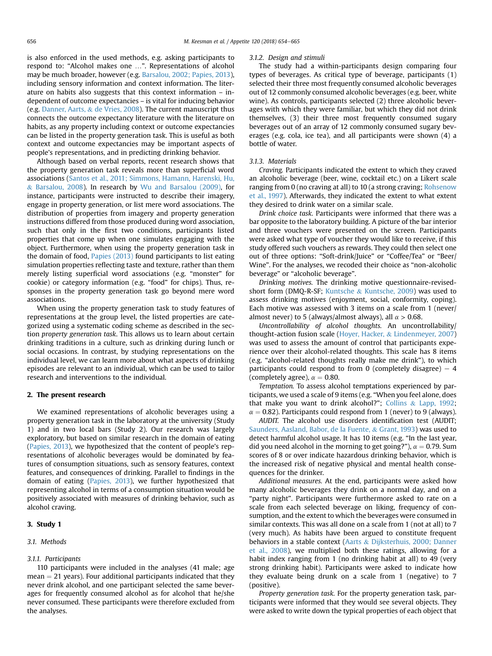is also enforced in the used methods, e.g. asking participants to respond to: "Alcohol makes one …". Representations of alcohol may be much broader, however (e.g. [Barsalou, 2002; Papies, 2013\)](#page-10-0), including sensory information and context information. The literature on habits also suggests that this context information – independent of outcome expectancies – is vital for inducing behavior (e.g. [Danner, Aarts,](#page-11-0) & [de Vries, 2008\)](#page-11-0). The current manuscript thus connects the outcome expectancy literature with the literature on habits, as any property including context or outcome expectancies can be listed in the property generation task. This is useful as both context and outcome expectancies may be important aspects of people's representations, and in predicting drinking behavior.

Although based on verbal reports, recent research shows that the property generation task reveals more than superficial word associations ([Santos et al., 2011; Simmons, Hamann, Harenski, Hu,](#page-11-0) & [Barsalou, 2008\)](#page-11-0). In research by [Wu and Barsalou \(2009\)](#page-11-0), for instance, participants were instructed to describe their imagery, engage in property generation, or list mere word associations. The distribution of properties from imagery and property generation instructions differed from those produced during word association, such that only in the first two conditions, participants listed properties that come up when one simulates engaging with the object. Furthermore, when using the property generation task in the domain of food, [Papies \(2013\)](#page-11-0) found participants to list eating simulation properties reflecting taste and texture, rather than them merely listing superficial word associations (e.g. "monster" for cookie) or category information (e.g. "food" for chips). Thus, responses in the property generation task go beyond mere word associations.

When using the property generation task to study features of representations at the group level, the listed properties are categorized using a systematic coding scheme as described in the section property generation task. This allows us to learn about certain drinking traditions in a culture, such as drinking during lunch or social occasions. In contrast, by studying representations on the individual level, we can learn more about what aspects of drinking episodes are relevant to an individual, which can be used to tailor research and interventions to the individual.

#### 2. The present research

We examined representations of alcoholic beverages using a property generation task in the laboratory at the university (Study 1) and in two local bars (Study 2). Our research was largely exploratory, but based on similar research in the domain of eating ([Papies, 2013\)](#page-11-0), we hypothesized that the content of people's representations of alcoholic beverages would be dominated by features of consumption situations, such as sensory features, context features, and consequences of drinking. Parallel to findings in the domain of eating ([Papies, 2013\)](#page-11-0), we further hypothesized that representing alcohol in terms of a consumption situation would be positively associated with measures of drinking behavior, such as alcohol craving.

### 3. Study 1

#### 3.1. Methods

### 3.1.1. Participants

110 participants were included in the analyses (41 male; age  $mean = 21$  years). Four additional participants indicated that they never drink alcohol, and one participant selected the same beverages for frequently consumed alcohol as for alcohol that he/she never consumed. These participants were therefore excluded from the analyses.

#### 3.1.2. Design and stimuli

The study had a within-participants design comparing four types of beverages. As critical type of beverage, participants (1) selected their three most frequently consumed alcoholic beverages out of 12 commonly consumed alcoholic beverages (e.g. beer, white wine). As controls, participants selected (2) three alcoholic beverages with which they were familiar, but which they did not drink themselves, (3) their three most frequently consumed sugary beverages out of an array of 12 commonly consumed sugary beverages (e.g. cola, ice tea), and all participants were shown (4) a bottle of water.

### 3.1.3. Materials

Craving. Participants indicated the extent to which they craved an alcoholic beverage (beer, wine, cocktail etc.) on a Likert scale ranging from 0 (no craving at all) to 10 (a strong craving; [Rohsenow](#page-11-0) [et al., 1997\)](#page-11-0). Afterwards, they indicated the extent to what extent they desired to drink water on a similar scale.

Drink choice task. Participants were informed that there was a bar opposite to the laboratory building. A picture of the bar interior and three vouchers were presented on the screen. Participants were asked what type of voucher they would like to receive, if this study offered such vouchers as rewards. They could then select one out of three options: "Soft-drink/Juice" or "Coffee/Tea" or "Beer/ Wine". For the analyses, we recoded their choice as "non-alcoholic beverage" or "alcoholic beverage".

Drinking motives. The drinking motive questionnaire-revisedshort form (DMQ-R-SF; [Kuntsche](#page-11-0) & [Kuntsche, 2009\)](#page-11-0) was used to assess drinking motives (enjoyment, social, conformity, coping). Each motive was assessed with 3 items on a scale from 1 (never/ almost never) to 5 (always/almost always), all  $\alpha$  > 0.68.

Uncontrollability of alcohol thoughts. An uncontrollability/ thought-action fusion scale ([Hoyer, Hacker,](#page-11-0) & [Lindenmeyer, 2007\)](#page-11-0) was used to assess the amount of control that participants experience over their alcohol-related thoughts. This scale has 8 items (e.g. "alcohol-related thoughts really make me drink"), to which participants could respond to from 0 (completely disagree)  $-4$ (completely agree),  $\alpha = 0.80$ .

Temptation. To assess alcohol temptations experienced by participants, we used a scale of 9 items (e.g. "When you feel alone, does that make you want to drink alcohol?"; [Collins](#page-10-0) & [Lapp, 1992](#page-10-0);  $\alpha = 0.82$ ). Participants could respond from 1 (never) to 9 (always).

AUDIT. The alcohol use disorders identification test (AUDIT; [Saunders, Aasland, Babor, de la Fuente,](#page-11-0) & [Grant, 1993\)](#page-11-0) was used to detect harmful alcohol usage. It has 10 items (e.g. "In the last year, did you need alcohol in the morning to get going?"),  $\alpha = 0.79$ . Sum scores of 8 or over indicate hazardous drinking behavior, which is the increased risk of negative physical and mental health consequences for the drinker.

Additional measures. At the end, participants were asked how many alcoholic beverages they drink on a normal day, and on a "party night". Participants were furthermore asked to rate on a scale from each selected beverage on liking, frequency of consumption, and the extent to which the beverages were consumed in similar contexts. This was all done on a scale from 1 (not at all) to 7 (very much). As habits have been argued to constitute frequent behaviors in a stable context [\(Aarts](#page-10-0) & [Dijksterhuis, 2000; Danner](#page-10-0) [et al., 2008\)](#page-10-0), we multiplied both these ratings, allowing for a habit index ranging from 1 (no drinking habit at all) to 49 (very strong drinking habit). Participants were asked to indicate how they evaluate being drunk on a scale from 1 (negative) to 7 (positive).

Property generation task. For the property generation task, participants were informed that they would see several objects. They were asked to write down the typical properties of each object that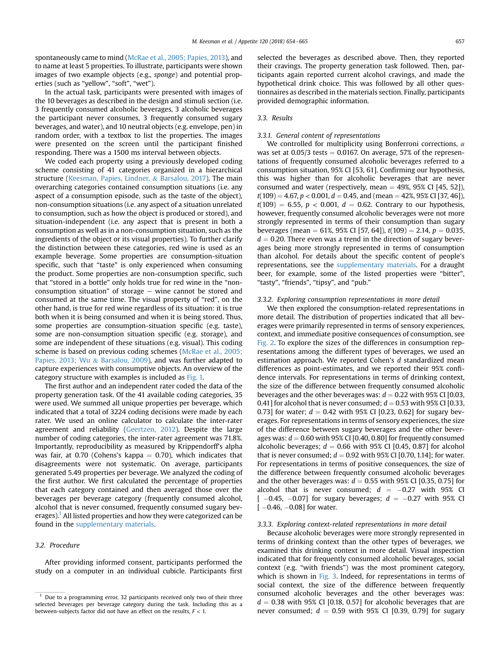spontaneously came to mind ([McRae et al., 2005; Papies, 2013\)](#page-11-0), and to name at least 5 properties. To illustrate, participants were shown images of two example objects (e.g., sponge) and potential properties (such as "yellow", "soft", "wet").

In the actual task, participants were presented with images of the 10 beverages as described in the design and stimuli section (i.e. 3 frequently consumed alcoholic beverages, 3 alcoholic beverages the participant never consumes, 3 frequently consumed sugary beverages, and water), and 10 neutral objects (e.g. envelope, pen) in random order, with a textbox to list the properties. The images were presented on the screen until the participant finished responding. There was a 1500 ms interval between objects.

We coded each property using a previously developed coding scheme consisting of 41 categories organized in a hierarchical structure ([Keesman, Papies, Lindner,](#page-11-0) & [Barsalou, 2017](#page-11-0)). The main overarching categories contained consumption situations (i.e. any aspect of a consumption episode, such as the taste of the object), non-consumption situations (i.e. any aspect of a situation unrelated to consumption, such as how the object is produced or stored), and situation-independent (i.e. any aspect that is present in both a consumption as well as in a non-consumption situation, such as the ingredients of the object or its visual properties). To further clarify the distinction between these categories, red wine is used as an example beverage. Some properties are consumption-situation specific, such that "taste" is only experienced when consuming the product. Some properties are non-consumption specific, such that "stored in a bottle" only holds true for red wine in the "nonconsumption situation" of storage  $-$  wine cannot be stored and consumed at the same time. The visual property of "red", on the other hand, is true for red wine regardless of its situation: it is true both when it is being consumed and when it is being stored. Thus, some properties are consumption-situation specific (e.g. taste), some are non-consumption situation specific (e.g. storage), and some are independent of these situations (e.g. visual). This coding scheme is based on previous coding schemes ([McRae et al., 2005;](#page-11-0) [Papies, 2013; Wu](#page-11-0) & [Barsalou, 2009\)](#page-11-0), and was further adapted to capture experiences with consumptive objects. An overview of the category structure with examples is included as [Fig. 1.](#page-4-0)

The first author and an independent rater coded the data of the property generation task. Of the 41 available coding categories, 35 were used. We summed all unique properties per beverage, which indicated that a total of 3224 coding decisions were made by each rater. We used an online calculator to calculate the inter-rater agreement and reliability ([Geertzen, 2012\)](#page-11-0). Despite the large number of coding categories, the inter-rater agreement was 71.8%. Importantly, reproducibility as measured by Krippendorff's alpha was fair, at 0.70 (Cohens's kappa  $= 0.70$ ), which indicates that disagreements were not systematic. On average, participants generated 5.49 properties per beverage. We analyzed the coding of the first author. We first calculated the percentage of properties that each category contained and then averaged those over the beverages per beverage category (frequently consumed alcohol, alcohol that is never consumed, frequently consumed sugary beverages).<sup>1</sup> All listed properties and how they were categorized can be found in the supplementary materials.

# 3.2. Procedure

After providing informed consent, participants performed the study on a computer in an individual cubicle. Participants first selected the beverages as described above. Then, they reported their cravings. The property generation task followed. Then, participants again reported current alcohol cravings, and made the hypothetical drink choice. This was followed by all other questionnaires as described in the materials section. Finally, participants provided demographic information.

### 3.3. Results

### 3.3.1. General content of representations

We controlled for multiplicity using Bonferroni corrections,  $\alpha$ was set at  $0.05/3$  tests  $= 0.0167$ . On average, 57% of the representations of frequently consumed alcoholic beverages referred to a consumption situation, 95% CI [53, 61]. Confirming our hypothesis, this was higher than for alcoholic beverages that are never consumed and water (respectively, mean  $=$  49%, 95% CI [45, 52]),  $t(109) = 4.67$ ,  $p < 0.001$ ,  $d = 0.45$ , and (mean = 42%, 95% CI [37, 46]),  $t(109) = 6.55$ ,  $p < 0.001$ ,  $d = 0.62$ . Contrary to our hypothesis, however, frequently consumed alcoholic beverages were not more strongly represented in terms of their consumption than sugary beverages (mean = 61%, 95% CI [57, 64]),  $t(109) = 2.14$ ,  $p = 0.035$ ,  $d = 0.20$ . There even was a trend in the direction of sugary beverages being more strongly represented in terms of consumption than alcohol. For details about the specific content of people's representations, see the supplementary materials. For a draught beer, for example, some of the listed properties were "bitter", "tasty", "friends", "tipsy", and "pub."

### 3.3.2. Exploring consumption representations in more detail

We then explored the consumption-related representations in more detail. The distribution of properties indicated that all beverages were primarily represented in terms of sensory experiences, context, and immediate positive consequences of consumption, see [Fig. 2.](#page-4-0) To explore the sizes of the differences in consumption representations among the different types of beverages, we used an estimation approach. We reported Cohen's d standardized mean differences as point-estimates, and we reported their 95% confidence intervals. For representations in terms of drinking context, the size of the difference between frequently consumed alcoholic beverages and the other beverages was:  $d = 0.22$  with 95% CI [0.03, 0.41] for alcohol that is never consumed;  $d = 0.53$  with 95% CI [0.33, 0.73] for water;  $d = 0.42$  with 95% CI [0.23, 0.62] for sugary beverages. For representations in terms of sensory experiences, the size of the difference between sugary beverages and the other beverages was:  $d = 0.60$  with 95% CI [0.40, 0.80] for frequently consumed alcoholic beverages;  $d = 0.66$  with 95% CI [0.45, 0.87] for alcohol that is never consumed;  $d = 0.92$  with 95% CI [0.70, 1.14]; for water. For representations in terms of positive consequences, the size of the difference between frequently consumed alcoholic beverages and the other beverages was:  $d = 0.55$  with 95% CI [0.35, 0.75] for alcohol that is never consumed;  $d = -0.27$  with 95% Cl  $[-0.45, -0.07]$  for sugary beverages;  $d = -0.27$  with 95% Cl  $[-0.46, -0.08]$  for water.

# 3.3.3. Exploring context-related representations in more detail

Because alcoholic beverages were more strongly represented in terms of drinking context than the other types of beverages, we examined this drinking context in more detail. Visual inspection indicated that for frequently consumed alcoholic beverages, social context (e.g. "with friends") was the most prominent category, which is shown in [Fig. 3](#page-5-0). Indeed, for representations in terms of social context, the size of the difference between frequently consumed alcoholic beverages and the other beverages was:  $d = 0.38$  with 95% CI [0.18, 0.57] for alcoholic beverages that are never consumed;  $d = 0.59$  with 95% CI [0.39, 0.79] for sugary

 $1$  Due to a programming error, 32 participants received only two of their three selected beverages per beverage category during the task. Including this as a between-subjects factor did not have an effect on the results,  $F < 1$ .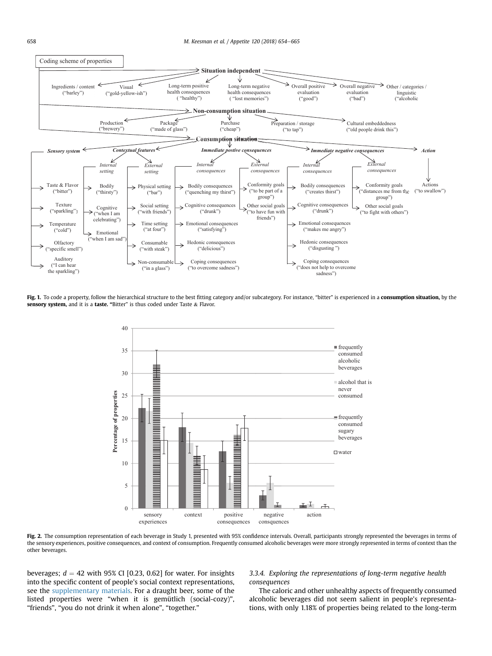<span id="page-4-0"></span>

Fig. 1. To code a property, follow the hierarchical structure to the best fitting category and/or subcategory. For instance, "bitter" is experienced in a consumption situation, by the sensory system, and it is a taste. "Bitter" is thus coded under Taste & Flavor.



Fig. 2. The consumption representation of each beverage in Study 1, presented with 95% confidence intervals. Overall, participants strongly represented the beverages in terms of the sensory experiences, positive consequences, and context of consumption. Frequently consumed alcoholic beverages were more strongly represented in terms of context than the other beverages.

beverages;  $d = 42$  with 95% CI [0.23, 0.62] for water. For insights into the specific content of people's social context representations, see the supplementary materials. For a draught beer, some of the listed properties were "when it is gemütlich (social-cozy)", "friends", "you do not drink it when alone", "together."

3.3.4. Exploring the representations of long-term negative health consequences

The caloric and other unhealthy aspects of frequently consumed alcoholic beverages did not seem salient in people's representations, with only 1.18% of properties being related to the long-term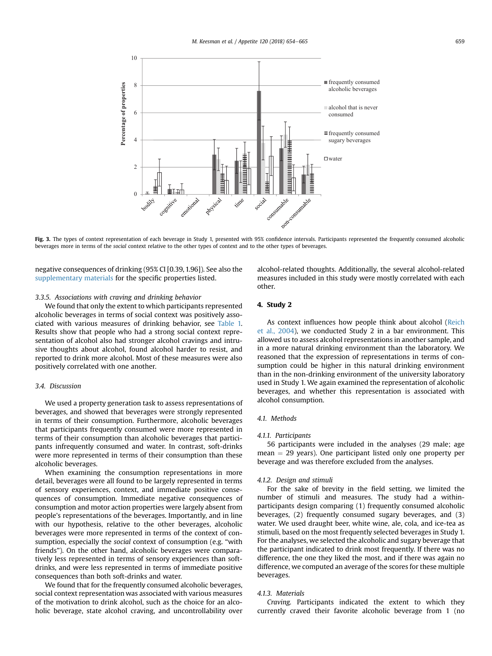<span id="page-5-0"></span>

Fig. 3. The types of context representation of each beverage in Study 1, presented with 95% confidence intervals. Participants represented the frequently consumed alcoholic beverages more in terms of the social context relative to the other types of context and to the other types of beverages.

negative consequences of drinking (95% CI [0.39, 1.96]). See also the supplementary materials for the specific properties listed.

# 3.3.5. Associations with craving and drinking behavior

We found that only the extent to which participants represented alcoholic beverages in terms of social context was positively associated with various measures of drinking behavior, see [Table 1.](#page-6-0) Results show that people who had a strong social context representation of alcohol also had stronger alcohol cravings and intrusive thoughts about alcohol, found alcohol harder to resist, and reported to drink more alcohol. Most of these measures were also positively correlated with one another.

### 3.4. Discussion

We used a property generation task to assess representations of beverages, and showed that beverages were strongly represented in terms of their consumption. Furthermore, alcoholic beverages that participants frequently consumed were more represented in terms of their consumption than alcoholic beverages that participants infrequently consumed and water. In contrast, soft-drinks were more represented in terms of their consumption than these alcoholic beverages.

When examining the consumption representations in more detail, beverages were all found to be largely represented in terms of sensory experiences, context, and immediate positive consequences of consumption. Immediate negative consequences of consumption and motor action properties were largely absent from people's representations of the beverages. Importantly, and in line with our hypothesis, relative to the other beverages, alcoholic beverages were more represented in terms of the context of consumption, especially the social context of consumption (e.g. "with friends"). On the other hand, alcoholic beverages were comparatively less represented in terms of sensory experiences than softdrinks, and were less represented in terms of immediate positive consequences than both soft-drinks and water.

We found that for the frequently consumed alcoholic beverages, social context representation was associated with various measures of the motivation to drink alcohol, such as the choice for an alcoholic beverage, state alcohol craving, and uncontrollability over

alcohol-related thoughts. Additionally, the several alcohol-related measures included in this study were mostly correlated with each other.

# 4. Study 2

As context influences how people think about alcohol [\(Reich](#page-11-0) [et al., 2004](#page-11-0)), we conducted Study 2 in a bar environment. This allowed us to assess alcohol representations in another sample, and in a more natural drinking environment than the laboratory. We reasoned that the expression of representations in terms of consumption could be higher in this natural drinking environment than in the non-drinking environment of the university laboratory used in Study 1. We again examined the representation of alcoholic beverages, and whether this representation is associated with alcohol consumption.

# 4.1. Methods

### 4.1.1. Participants

56 participants were included in the analyses (29 male; age  $mean = 29$  years). One participant listed only one property per beverage and was therefore excluded from the analyses.

#### 4.1.2. Design and stimuli

For the sake of brevity in the field setting, we limited the number of stimuli and measures. The study had a withinparticipants design comparing (1) frequently consumed alcoholic beverages, (2) frequently consumed sugary beverages, and (3) water. We used draught beer, white wine, ale, cola, and ice-tea as stimuli, based on the most frequently selected beverages in Study 1. For the analyses, we selected the alcoholic and sugary beverage that the participant indicated to drink most frequently. If there was no difference, the one they liked the most, and if there was again no difference, we computed an average of the scores for these multiple beverages.

### 4.1.3. Materials

Craving. Participants indicated the extent to which they currently craved their favorite alcoholic beverage from 1 (no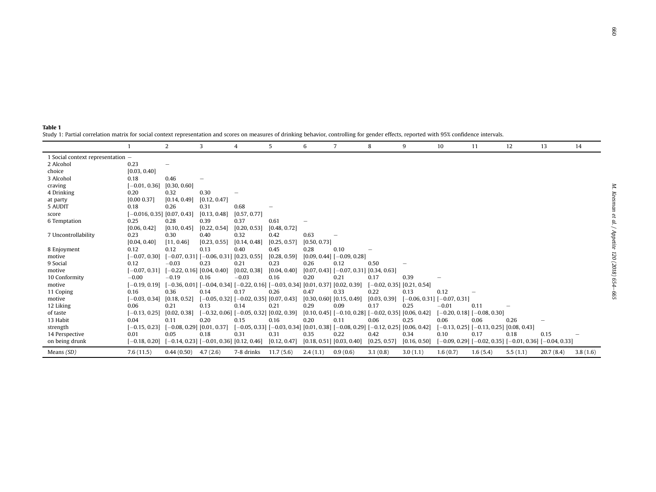<span id="page-6-0"></span>

| 1 Social context representation – |                             |                              |                                                                                               |                                                                                               |              |                               |                                                               |                              |              |                                   |                                                                 |          |           |          |
|-----------------------------------|-----------------------------|------------------------------|-----------------------------------------------------------------------------------------------|-----------------------------------------------------------------------------------------------|--------------|-------------------------------|---------------------------------------------------------------|------------------------------|--------------|-----------------------------------|-----------------------------------------------------------------|----------|-----------|----------|
| 2 Alcohol                         | 0.23                        |                              |                                                                                               |                                                                                               |              |                               |                                                               |                              |              |                                   |                                                                 |          |           |          |
| choice                            | [0.03, 0.40]                |                              |                                                                                               |                                                                                               |              |                               |                                                               |                              |              |                                   |                                                                 |          |           |          |
| 3 Alcohol                         | 0.18                        | 0.46                         |                                                                                               |                                                                                               |              |                               |                                                               |                              |              |                                   |                                                                 |          |           |          |
| craving                           | $[-0.01, 0.36]$             | [0.30, 0.60]                 |                                                                                               |                                                                                               |              |                               |                                                               |                              |              |                                   |                                                                 |          |           |          |
| 4 Drinking                        | 0.20                        | 0.32                         | 0.30                                                                                          |                                                                                               |              |                               |                                                               |                              |              |                                   |                                                                 |          |           |          |
| at party                          | [0.00 0.37]                 | [0.14, 0.49]                 | [0.12, 0.47]                                                                                  |                                                                                               |              |                               |                                                               |                              |              |                                   |                                                                 |          |           |          |
| 5 AUDIT                           | 0.18                        | 0.26                         | 0.31                                                                                          | 0.68                                                                                          |              |                               |                                                               |                              |              |                                   |                                                                 |          |           |          |
| score                             | $-0.016, 0.35$ [0.07, 0.43] |                              | [0.13, 0.48]                                                                                  | [0.57, 0.77]                                                                                  |              |                               |                                                               |                              |              |                                   |                                                                 |          |           |          |
| 6 Temptation                      | 0.25                        | 0.28                         | 0.39                                                                                          | 0.37                                                                                          | 0.61         |                               |                                                               |                              |              |                                   |                                                                 |          |           |          |
|                                   | [0.06, 0.42]                | [0.10, 0.45]                 | [0.22, 0.54]                                                                                  | [0.20, 0.53]                                                                                  | [0.48, 0.72] |                               |                                                               |                              |              |                                   |                                                                 |          |           |          |
| 7 Uncontrollability               | 0.23                        | 0.30                         | 0.40                                                                                          | 0.32                                                                                          | 0.42         | 0.63                          |                                                               |                              |              |                                   |                                                                 |          |           |          |
|                                   | [0.04, 0.40]                | [11, 0.46]                   | [0.23, 0.55]                                                                                  | [0.14, 0.48]                                                                                  | [0.25, 0.57] | [0.50, 0.73]                  |                                                               |                              |              |                                   |                                                                 |          |           |          |
| 8 Enjoyment                       | 0.12                        | 0.12                         | 0.13                                                                                          | 0.40                                                                                          | 0.45         | 0.28                          | 0.10                                                          |                              |              |                                   |                                                                 |          |           |          |
| motive                            | $-0.07, 0.30$               |                              | $[-0.07, 0.31]$ [-0.06, 0.31] [0.23, 0.55]                                                    |                                                                                               | [0.28, 0.59] |                               | $[0.09, 0.44]$ $[-0.09, 0.28]$                                |                              |              |                                   |                                                                 |          |           |          |
| 9 Social                          | 0.12                        | $-0.03$                      | 0.23                                                                                          | 0.21                                                                                          | 0.23         | 0.26                          | 0.12                                                          | 0.50                         |              |                                   |                                                                 |          |           |          |
| motive                            | $-0.07, 0.31$               | $[-0.22, 0.16]$ [0.04, 0.40] |                                                                                               | [0.02, 0.38]                                                                                  | [0.04, 0.40] |                               | $[0.07, 0.43]$ $[-0.07, 0.31]$ $[0.34, 0.63]$                 |                              |              |                                   |                                                                 |          |           |          |
| 10 Conformity                     | $-0.00$                     | $-0.19$                      | 0.16                                                                                          | $-0.03$                                                                                       | 0.16         | 0.20                          | 0.21                                                          | 0.17                         | 0.39         |                                   |                                                                 |          |           |          |
| motive                            | $[-0.19, 0.19]$             |                              | $[-0.36, 0.01]$ $[-0.04, 0.34]$ $[-0.22, 0.16]$ $[-0.03, 0.34]$ $[0.01, 0.37]$ $[0.02, 0.39]$ |                                                                                               |              |                               |                                                               | $[-0.02, 0.35]$ [0.21, 0.54] |              |                                   |                                                                 |          |           |          |
| 11 Coping                         | 0.16                        | 0.36                         | 0.14                                                                                          | 0.17                                                                                          | 0.26         | 0.47                          | 0.33                                                          | 0.22                         | 0.13         | 0.12                              |                                                                 |          |           |          |
| motive                            | $[-0.03, 0.34]$             | [0.18, 0.52]                 |                                                                                               | $[-0.05, 0.32]$ $[-0.02, 0.35]$ $[0.07, 0.43]$                                                |              | $[0.30, 0.60]$ $[0.15, 0.49]$ |                                                               | [0.03, 0.39]                 |              | $-0.06, 0.31$ ] [ $-0.07, 0.31$ ] |                                                                 |          |           |          |
| 12 Liking                         | 0.06                        | 0.21                         | 0.13                                                                                          | 0.14                                                                                          | 0.21         | 0.29                          | 0.09                                                          | 0.17                         | 0.25         | $-0.01$                           | 0.11                                                            |          |           |          |
| of taste                          | $-0.13, 0.25$               | [0.02, 0.38]                 |                                                                                               | $[-0.32, 0.06]$ [-0.05, 0.32] [0.02, 0.39]                                                    |              |                               | $[0.10, 0.45]$ $[-0.10, 0.28]$ $[-0.02, 0.35]$ $[0.06, 0.42]$ |                              |              |                                   | $[-0.20, 0.18]$ [-0.08, 0.30]                                   |          |           |          |
| 13 Habit                          | 0.04                        | 0.11                         | 0.20                                                                                          | 0.15                                                                                          | 0.16         | 0.20                          | 0.11                                                          | 0.06                         | 0.25         | 0.06                              | 0.06                                                            | 0.26     |           |          |
| strength                          | $-0.15, 0.23$               | $[-0.08, 0.29]$ [0.01, 0.37] |                                                                                               | $[-0.05, 0.33]$ $[-0.03, 0.34]$ $[0.01, 0.38]$ $[-0.08, 0.29]$ $[-0.12, 0.25]$ $[0.06, 0.42]$ |              |                               |                                                               |                              |              |                                   | $[-0.13, 0.25]$ $[-0.13, 0.25]$ $[0.08, 0.43]$                  |          |           |          |
| 14 Perspective                    | 0.01                        | 0.05                         | 0.18                                                                                          | 0.31                                                                                          | 0.31         | 0.35                          | 0.22                                                          | 0.42                         | 0.34         | 0.10                              | 0.17                                                            | 0.18     | 0.15      |          |
| on being drunk                    | $[-0.18, 0.20]$             |                              | $[-0.14, 0.23]$ $[-0.01, 0.36]$ [0.12, 0.46]                                                  |                                                                                               | [0.12, 0.47] |                               | $[0.18, 0.51]$ $[0.03, 0.40]$                                 | [0.25, 0.57]                 | [0.16, 0.50] |                                   | $[-0.09, 0.29]$ $[-0.02, 0.35]$ $[-0.01, 0.36]$ $[-0.04, 0.33]$ |          |           |          |
| Means (SD)                        | 7.6(11.5)                   | $0.44(0.50)$ 4.7 (2.6)       |                                                                                               | 7-8 drinks                                                                                    | 11.7(5.6)    | 2.4(1.1)                      | 0.9(0.6)                                                      | 3.1(0.8)                     | 3.0(1.1)     | 1.6(0.7)                          | 1.6(5.4)                                                        | 5.5(1.1) | 20.7(8.4) | 3.8(1.6) |

1 2 3 4 5 6 7 8 9 10 11 12 13 14

 $14$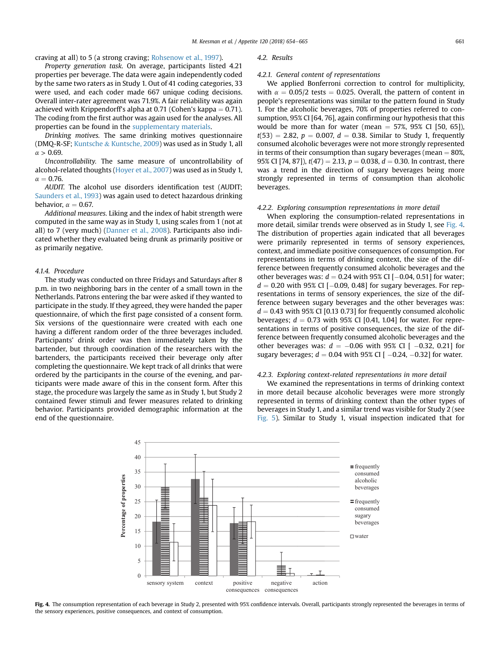craving at all) to 5 (a strong craving; [Rohsenow et al., 1997](#page-11-0)).

Property generation task. On average, participants listed 4.21 properties per beverage. The data were again independently coded by the same two raters as in Study 1. Out of 41 coding categories, 33 were used, and each coder made 667 unique coding decisions. Overall inter-rater agreement was 71.9%. A fair reliability was again achieved with Krippendorff's alpha at 0.71 (Cohen's kappa  $= 0.71$ ). The coding from the first author was again used for the analyses. All properties can be found in the supplementary materials.

Drinking motives. The same drinking motives questionnaire (DMQ-R-SF; [Kuntsche](#page-11-0) & [Kuntsche, 2009\)](#page-11-0) was used as in Study 1, all  $\alpha > 0.69$ .

Uncontrollability. The same measure of uncontrollability of alcohol-related thoughts ([Hoyer et al., 2007\)](#page-11-0) was used as in Study 1,  $\alpha = 0.76$ .

AUDIT. The alcohol use disorders identification test (AUDIT; [Saunders et al., 1993\)](#page-11-0) was again used to detect hazardous drinking behavior,  $\alpha = 0.67$ .

Additional measures. Liking and the index of habit strength were computed in the same way as in Study 1, using scales from 1 (not at all) to 7 (very much) ([Danner et al., 2008](#page-11-0)). Participants also indicated whether they evaluated being drunk as primarily positive or as primarily negative.

### 4.1.4. Procedure

The study was conducted on three Fridays and Saturdays after 8 p.m. in two neighboring bars in the center of a small town in the Netherlands. Patrons entering the bar were asked if they wanted to participate in the study. If they agreed, they were handed the paper questionnaire, of which the first page consisted of a consent form. Six versions of the questionnaire were created with each one having a different random order of the three beverages included. Participants' drink order was then immediately taken by the bartender, but through coordination of the researchers with the bartenders, the participants received their beverage only after completing the questionnaire. We kept track of all drinks that were ordered by the participants in the course of the evening, and participants were made aware of this in the consent form. After this stage, the procedure was largely the same as in Study 1, but Study 2 contained fewer stimuli and fewer measures related to drinking behavior. Participants provided demographic information at the end of the questionnaire.

#### 4.2. Results

#### 4.2.1. General content of representations

We applied Bonferroni correction to control for multiplicity, with  $\alpha = 0.05/2$  tests = 0.025. Overall, the pattern of content in people's representations was similar to the pattern found in Study 1. For the alcoholic beverages, 70% of properties referred to consumption, 95% CI [64, 76], again confirming our hypothesis that this would be more than for water (mean  $=$  57%, 95% CI [50, 65]),  $t(53) = 2.82, p = 0.007, d = 0.38$ . Similar to Study 1, frequently consumed alcoholic beverages were not more strongly represented in terms of their consumption than sugary beverages (mean  $= 80\%$ , 95% CI [74, 87]),  $t(47) = 2.13$ ,  $p = 0.038$ ,  $d = 0.30$ . In contrast, there was a trend in the direction of sugary beverages being more strongly represented in terms of consumption than alcoholic beverages.

### 4.2.2. Exploring consumption representations in more detail

When exploring the consumption-related representations in more detail, similar trends were observed as in Study 1, see Fig. 4. The distribution of properties again indicated that all beverages were primarily represented in terms of sensory experiences, context, and immediate positive consequences of consumption. For representations in terms of drinking context, the size of the difference between frequently consumed alcoholic beverages and the other beverages was:  $d = 0.24$  with 95% CI  $[-0.04, 0.51]$  for water;  $d = 0.20$  with 95% CI  $[-0.09, 0.48]$  for sugary beverages. For representations in terms of sensory experiences, the size of the difference between sugary beverages and the other beverages was:  $d = 0.43$  with 95% CI [0.13 0.73] for frequently consumed alcoholic beverages;  $d = 0.73$  with 95% CI [0.41, 1.04] for water. For representations in terms of positive consequences, the size of the difference between frequently consumed alcoholic beverages and the other beverages was:  $d = -0.06$  with 95% CI [  $-0.32$ , 0.21] for sugary beverages;  $d = 0.04$  with 95% CI [  $-0.24, -0.32$ ] for water.

### 4.2.3. Exploring context-related representations in more detail

We examined the representations in terms of drinking context in more detail because alcoholic beverages were more strongly represented in terms of drinking context than the other types of beverages in Study 1, and a similar trend was visible for Study 2 (see [Fig. 5\)](#page-8-0). Similar to Study 1, visual inspection indicated that for



Fig. 4. The consumption representation of each beverage in Study 2, presented with 95% confidence intervals. Overall, participants strongly represented the beverages in terms of the sensory experiences, positive consequences, and context of consumption.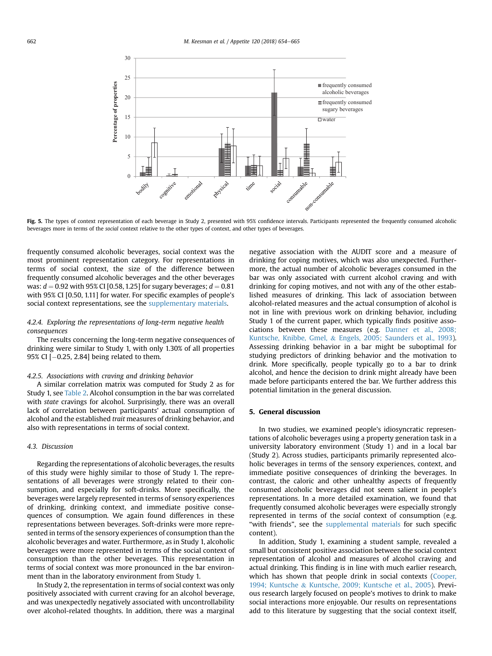<span id="page-8-0"></span>

Fig. 5. The types of context representation of each beverage in Study 2, presented with 95% confidence intervals. Participants represented the frequently consumed alcoholic beverages more in terms of the social context relative to the other types of context, and other types of beverages.

frequently consumed alcoholic beverages, social context was the most prominent representation category. For representations in terms of social context, the size of the difference between frequently consumed alcoholic beverages and the other beverages was:  $d = 0.92$  with 95% CI [0.58, 1.25] for sugary beverages;  $d = 0.81$ with 95% CI [0.50, 1.11] for water. For specific examples of people's social context representations, see the supplementary materials.

# 4.2.4. Exploring the representations of long-term negative health consequences

The results concerning the long-term negative consequences of drinking were similar to Study 1, with only 1.30% of all properties  $95\%$  CI  $[-0.25, 2.84]$  being related to them.

### 4.2.5. Associations with craving and drinking behavior

A similar correlation matrix was computed for Study 2 as for Study 1, see [Table 2.](#page-9-0) Alcohol consumption in the bar was correlated with state cravings for alcohol. Surprisingly, there was an overall lack of correlation between participants' actual consumption of alcohol and the established trait measures of drinking behavior, and also with representations in terms of social context.

# 4.3. Discussion

Regarding the representations of alcoholic beverages, the results of this study were highly similar to those of Study 1. The representations of all beverages were strongly related to their consumption, and especially for soft-drinks. More specifically, the beverages were largely represented in terms of sensory experiences of drinking, drinking context, and immediate positive consequences of consumption. We again found differences in these representations between beverages. Soft-drinks were more represented in terms of the sensory experiences of consumption than the alcoholic beverages and water. Furthermore, as in Study 1, alcoholic beverages were more represented in terms of the social context of consumption than the other beverages. This representation in terms of social context was more pronounced in the bar environment than in the laboratory environment from Study 1.

In Study 2, the representation in terms of social context was only positively associated with current craving for an alcohol beverage, and was unexpectedly negatively associated with uncontrollability over alcohol-related thoughts. In addition, there was a marginal negative association with the AUDIT score and a measure of drinking for coping motives, which was also unexpected. Furthermore, the actual number of alcoholic beverages consumed in the bar was only associated with current alcohol craving and with drinking for coping motives, and not with any of the other established measures of drinking. This lack of association between alcohol-related measures and the actual consumption of alcohol is not in line with previous work on drinking behavior, including Study 1 of the current paper, which typically finds positive associations between these measures (e.g. [Danner et al., 2008;](#page-11-0) [Kuntsche, Knibbe, Gmel,](#page-11-0) & [Engels, 2005; Saunders et al., 1993\)](#page-11-0). Assessing drinking behavior in a bar might be suboptimal for studying predictors of drinking behavior and the motivation to drink. More specifically, people typically go to a bar to drink alcohol, and hence the decision to drink might already have been made before participants entered the bar. We further address this potential limitation in the general discussion.

### 5. General discussion

In two studies, we examined people's idiosyncratic representations of alcoholic beverages using a property generation task in a university laboratory environment (Study 1) and in a local bar (Study 2). Across studies, participants primarily represented alcoholic beverages in terms of the sensory experiences, context, and immediate positive consequences of drinking the beverages. In contrast, the caloric and other unhealthy aspects of frequently consumed alcoholic beverages did not seem salient in people's representations. In a more detailed examination, we found that frequently consumed alcoholic beverages were especially strongly represented in terms of the social context of consumption (e.g. "with friends", see the supplemental materials for such specific content).

In addition, Study 1, examining a student sample, revealed a small but consistent positive association between the social context representation of alcohol and measures of alcohol craving and actual drinking. This finding is in line with much earlier research, which has shown that people drink in social contexts ([Cooper,](#page-10-0) [1994; Kuntsche](#page-10-0) & [Kuntsche, 2009; Kuntsche et al., 2005](#page-10-0)). Previous research largely focused on people's motives to drink to make social interactions more enjoyable. Our results on representations add to this literature by suggesting that the social context itself,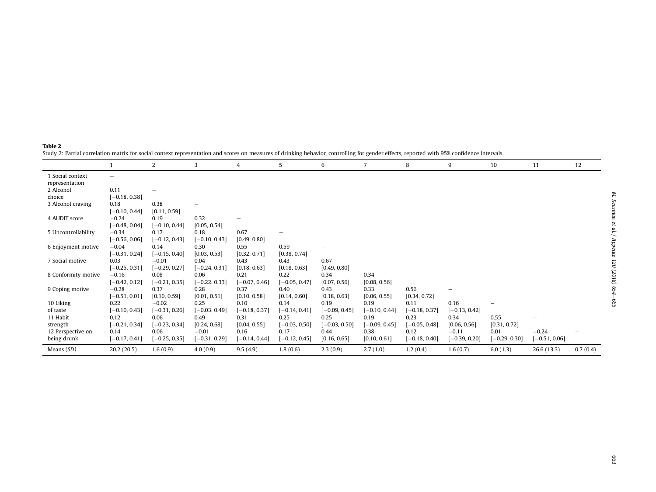| i            |  |
|--------------|--|
| $-2011$      |  |
| et i         |  |
| Î            |  |
| vippeute -   |  |
| ؛<br>נ       |  |
| (107)<br>é   |  |
| 50<br>Ŕ<br>Ş |  |
|              |  |

<span id="page-9-0"></span>Table 2

| Study 2: Partial correlation matrix for social context representation and scores on measures of drinking behavior, controlling for gender effects, reported with 95% confidence intervals |  |
|-------------------------------------------------------------------------------------------------------------------------------------------------------------------------------------------|--|
|-------------------------------------------------------------------------------------------------------------------------------------------------------------------------------------------|--|

|                     |                          | $\overline{2}$  | 3               | 4               | 5               | 6               | 7               | 8               | 9              | 10              | 11              | 12       |
|---------------------|--------------------------|-----------------|-----------------|-----------------|-----------------|-----------------|-----------------|-----------------|----------------|-----------------|-----------------|----------|
| 1 Social context    | $\overline{\phantom{0}}$ |                 |                 |                 |                 |                 |                 |                 |                |                 |                 |          |
| representation      |                          |                 |                 |                 |                 |                 |                 |                 |                |                 |                 |          |
| 2 Alcohol           | 0.11                     |                 |                 |                 |                 |                 |                 |                 |                |                 |                 |          |
| choice              | $[-0.18, 0.38]$          |                 |                 |                 |                 |                 |                 |                 |                |                 |                 |          |
| 3 Alcohol craving   | 0.18                     | 0.38            |                 |                 |                 |                 |                 |                 |                |                 |                 |          |
|                     | $[-0.10, 0.44]$          | [0.11, 0.59]    |                 |                 |                 |                 |                 |                 |                |                 |                 |          |
| 4 AUDIT score       | $-0.24$                  | 0.19            | 0.32            |                 |                 |                 |                 |                 |                |                 |                 |          |
|                     | $[-0.48, 0.04]$          | $[-0.10, 0.44]$ | [0.05, 0.54]    |                 |                 |                 |                 |                 |                |                 |                 |          |
| 5 Uncontrollability | $-0.34$                  | 0.17            | 0.18            | 0.67            |                 |                 |                 |                 |                |                 |                 |          |
|                     | $[-0.56, 0.06]$          | $[-0.12, 0.43]$ | $-0.10, 0.43]$  | [0.49, 0.80]    |                 |                 |                 |                 |                |                 |                 |          |
| 6 Enjoyment motive  | $-0.04$                  | 0.14            | 0.30            | 0.55            | 0.59            |                 |                 |                 |                |                 |                 |          |
|                     | $[-0.31, 0.24]$          | $[-0.15, 0.40]$ | [0.03, 0.53]    | [0.32, 0.71]    | [0.38, 0.74]    |                 |                 |                 |                |                 |                 |          |
| 7 Social motive     | 0.03                     | $-0.01$         | 0.04            | 0.43            | 0.43            | 0.67            |                 |                 |                |                 |                 |          |
|                     | $[-0.25, 0.31]$          | $[-0.29, 0.27]$ | $-0.24, 0.31$   | [0.18, 0.63]    | [0.18, 0.63]    | [0.49, 0.80]    |                 |                 |                |                 |                 |          |
| 8 Conformity motive | $-0.16$                  | 0.08            | 0.06            | 0.21            | 0.22            | 0.34            | 0.34            |                 |                |                 |                 |          |
|                     | $[-0.42, 0.12]$          | $[-0.21, 0.35]$ | $-0.22, 0.33$ ] | $[-0.07, 0.46]$ | $-0.05, 0.47$   | [0.07, 0.56]    | [0.08, 0.56]    |                 |                |                 |                 |          |
| 9 Coping motive     | $-0.28$                  | 0.37            | 0.28            | 0.37            | 0.40            | 0.43            | 0.33            | 0.56            |                |                 |                 |          |
|                     | $[-0.51, 0.01]$          | [0.10, 0.59]    | [0.01, 0.51]    | [0.10, 0.58]    | [0.14, 0.60]    | [0.18, 0.63]    | [0.06, 0.55]    | [0.34, 0.72]    |                |                 |                 |          |
| 10 Liking           | 0.22                     | $-0.02$         | 0.25            | 0.10            | 0.14            | 0.19            | 0.19            | 0.11            | 0.16           | -               |                 |          |
| of taste            | $[-0.10, 0.43]$          | $[-0.31, 0.26]$ | $-0.03, 0.49$   | $[-0.18, 0.37]$ | $[-0.14, 0.41]$ | $[-0.09, 0.45]$ | $[-0.10, 0.44]$ | $[-0.18, 0.37]$ | $-0.13, 0.42]$ |                 |                 |          |
| 11 Habit            | 0.12                     | 0.06            | 0.49            | 0.31            | 0.25            | 0.25            | 0.19            | 0.23            | 0.34           | 0.55            |                 |          |
| strength            | $[-0.21, 0.34]$          | $-0.23, 0.34]$  | [0.24, 0.68]    | [0.04, 0.55]    | $-0.03, 0.50$   | $-0.03, 0.50$   | $[-0.09, 0.45]$ | $-0.05, 0.48]$  | [0.06, 0.56]   | [0.31, 0.72]    |                 |          |
| 12 Perspective on   | 0.14                     | 0.06            | $-0.01$         | 0.16            | 0.17            | 0.44            | 0.38            | 0.12            | $-0.11$        | 0.01            | $-0.24$         |          |
| being drunk         | $[-0.17, 0.41]$          | $-0.25, 0.35$   | $-0.31, 0.29$ ] | $[-0.14, 0.44]$ | $-0.12, 0.45$   | [0.16, 0.65]    | [0.10, 0.61]    | $[-0.18, 0.40]$ | $-0.39, 0.20]$ | $[-0.29, 0.30]$ | $[-0.51, 0.06]$ |          |
| Means (SD)          | 20.2(20.5)               | 1.6(0.9)        | 4.0(0.9)        | 9.5(4.9)        | 1.8(0.6)        | 2.3(0.9)        | 2.7(1.0)        | 1.2(0.4)        | 1.6(0.7)       | 6.0(1.3)        | 26.6(13.3)      | 0.7(0.4) |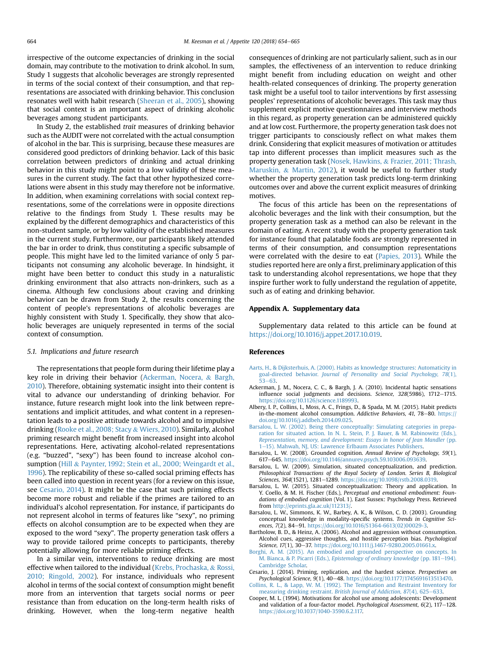<span id="page-10-0"></span>irrespective of the outcome expectancies of drinking in the social domain, may contribute to the motivation to drink alcohol. In sum, Study 1 suggests that alcoholic beverages are strongly represented in terms of the social context of their consumption, and that representations are associated with drinking behavior. This conclusion resonates well with habit research [\(Sheeran et al., 2005](#page-11-0)), showing that social context is an important aspect of drinking alcoholic beverages among student participants.

In Study 2, the established trait measures of drinking behavior such as the AUDIT were not correlated with the actual consumption of alcohol in the bar. This is surprising, because these measures are considered good predictors of drinking behavior. Lack of this basic correlation between predictors of drinking and actual drinking behavior in this study might point to a low validity of these measures in the current study. The fact that other hypothesized correlations were absent in this study may therefore not be informative. In addition, when examining correlations with social context representations, some of the correlations were in opposite directions relative to the findings from Study 1. These results may be explained by the different demographics and characteristics of this non-student sample, or by low validity of the established measures in the current study. Furthermore, our participants likely attended the bar in order to drink, thus constituting a specific subsample of people. This might have led to the limited variance of only 5 participants not consuming any alcoholic beverage. In hindsight, it might have been better to conduct this study in a naturalistic drinking environment that also attracts non-drinkers, such as a cinema. Although few conclusions about craving and drinking behavior can be drawn from Study 2, the results concerning the content of people's representations of alcoholic beverages are highly consistent with Study 1. Specifically, they show that alcoholic beverages are uniquely represented in terms of the social context of consumption.

#### 5.1. Implications and future research

The representations that people form during their lifetime play a key role in driving their behavior (Ackerman, Nocera, & Bargh, 2010). Therefore, obtaining systematic insight into their content is vital to advance our understanding of drinking behavior. For instance, future research might look into the link between representations and implicit attitudes, and what content in a representation leads to a positive attitude towards alcohol and to impulsive drinking ([Rooke et al., 2008; Stacy](#page-11-0) & [Wiers, 2010](#page-11-0)). Similarly, alcohol priming research might benefit from increased insight into alcohol representations. Here, activating alcohol-related representations (e.g. "buzzed", "sexy") has been found to increase alcohol consumption [\(Hill](#page-11-0) & [Paynter, 1992; Stein et al., 2000; Weingardt et al.,](#page-11-0) [1996](#page-11-0)). The replicability of these so-called social priming effects has been called into question in recent years (for a review on this issue, see Cesario, 2014). It might be the case that such priming effects become more robust and reliable if the primes are tailored to an individual's alcohol representation. For instance, if participants do not represent alcohol in terms of features like "sexy", no priming effects on alcohol consumption are to be expected when they are exposed to the word "sexy". The property generation task offers a way to provide tailored prime concepts to participants, thereby potentially allowing for more reliable priming effects.

In a similar vein, interventions to reduce drinking are most effective when tailored to the individual [\(Krebs, Prochaska,](#page-11-0) & [Rossi,](#page-11-0) [2010; Ringold, 2002\)](#page-11-0). For instance, individuals who represent alcohol in terms of the social context of consumption might benefit more from an intervention that targets social norms or peer resistance than from education on the long-term health risks of drinking. However, when the long-term negative health consequences of drinking are not particularly salient, such as in our samples, the effectiveness of an intervention to reduce drinking might benefit from including education on weight and other health-related consequences of drinking. The property generation task might be a useful tool to tailor interventions by first assessing peoples' representations of alcoholic beverages. This task may thus supplement explicit motive questionnaires and interview methods in this regard, as property generation can be administered quickly and at low cost. Furthermore, the property generation task does not trigger participants to consciously reflect on what makes them drink. Considering that explicit measures of motivation or attitudes tap into different processes than implicit measures such as the property generation task [\(Nosek, Hawkins,](#page-11-0) & [Frazier, 2011; Thrash,](#page-11-0) [Maruskin,](#page-11-0) & [Martin, 2012\)](#page-11-0), it would be useful to further study whether the property generation task predicts long-term drinking outcomes over and above the current explicit measures of drinking motives.

The focus of this article has been on the representations of alcoholic beverages and the link with their consumption, but the property generation task as a method can also be relevant in the domain of eating. A recent study with the property generation task for instance found that palatable foods are strongly represented in terms of their consumption, and consumption representations were correlated with the desire to eat [\(Papies, 2013\)](#page-11-0). While the studies reported here are only a first, preliminary application of this task to understanding alcohol representations, we hope that they inspire further work to fully understand the regulation of appetite, such as of eating and drinking behavior.

### Appendix A. Supplementary data

Supplementary data related to this article can be found at <https://doi.org/10.1016/j.appet.2017.10.019>.

### References

- [Aarts, H., & Dijksterhuis, A. \(2000\). Habits as knowledge structures: Automaticity in](http://refhub.elsevier.com/S0195-6663(17)30565-2/sref1) goal-directed behavior. [Journal of Personality and Social Psychology, 78](http://refhub.elsevier.com/S0195-6663(17)30565-2/sref1)(1),  $53 - 63$  $53 - 63$
- Ackerman, J. M., Nocera, C. C., & Bargh, J. A. (2010). Incidental haptic sensations influence social judgments and decisions. Science, 328(5986), 1712-1715. [https://doi.org/10.1126/science.1189993.](https://doi.org/10.1126/science.1189993)
- Albery, I. P., Collins, I., Moss, A. C., Frings, D., & Spada, M. M. (2015). Habit predicts  $in$ -the-moment alcohol consumption. Addictive Behaviors, 41, 78–80. [https://](https://doi.org/10.1016/j.addbeh.2014.09.025) [doi.org/10.1016/j.addbeh.2014.09.025.](https://doi.org/10.1016/j.addbeh.2014.09.025)
- [Barsalou, L. W. \(2002\). Being there conceptually: Simulating categories in prepa](http://refhub.elsevier.com/S0195-6663(17)30565-2/sref5)[ration for situated action. In N. L. Stein, P. J. Bauer, & M. Rabinowitz \(Eds.\),](http://refhub.elsevier.com/S0195-6663(17)30565-2/sref5) [Representation, memory, and development: Essays in honor of Jean Mandler](http://refhub.elsevier.com/S0195-6663(17)30565-2/sref5) (pp. [1](http://refhub.elsevier.com/S0195-6663(17)30565-2/sref5)-[15\). Mahwah, NJ, US: Lawrence Erlbaum Associates Publishers.](http://refhub.elsevier.com/S0195-6663(17)30565-2/sref5)
- Barsalou, L. W. (2008). Grounded cognition. Annual Review of Psychology, 59(1), 617-645. <https://doi.org/10.1146/annurev.psych.59.103006.093639>
- Barsalou, L. W. (2009). Simulation, situated conceptualization, and prediction. Philosophical Transactions of the Royal Society of London. Series B, Biological Sciences, 364(1521), 1281–1289. [https://doi.org/10.1098/rstb.2008.0319.](https://doi.org/10.1098/rstb.2008.0319)
- Barsalou, L. W. (2015). Situated conceptualization: Theory and application. In Y. Coello, & M. H. Fischer (Eds.), Perceptual and emotional embodiment: Foundations of embodied cognition (Vol. 1). East Sussex: Psychology Press. Retrieved from [http://eprints.gla.ac.uk/112313/.](http://eprints.gla.ac.uk/112313/)
- Barsalou, L. W., Simmons, K. W., Barbey, A. K., & Wilson, C. D. (2003). Grounding conceptual knowledge in modality-specific systems. Trends in Cognitive Sciences, 7(2), 84-91. [https://doi.org/10.1016/S1364-6613\(02\)00029-3.](https://doi.org/10.1016/S1364-6613(02)00029-3)
- Bartholow, B. D., & Heinz, A. (2006). Alcohol and aggression without consumption. Alcohol cues, aggressive thoughts, and hostile perception bias. Psychological Science, 17(1), 30-37. [https://doi.org/10.1111/j.1467-9280.2005.01661.x.](https://doi.org/10.1111/j.1467-9280.2005.01661.x)
- [Borghi, A. M. \(2015\). An embodied and grounded perspective on concepts. In](http://refhub.elsevier.com/S0195-6663(17)30565-2/sref12) M. Bianca, & P. Picarri (Eds.), [Epistemology of ordinary knowledge](http://refhub.elsevier.com/S0195-6663(17)30565-2/sref12) (pp. 181-[194\).](http://refhub.elsevier.com/S0195-6663(17)30565-2/sref12) [Cambridge Scholar.](http://refhub.elsevier.com/S0195-6663(17)30565-2/sref12)
- Cesario, J. (2014). Priming, replication, and the hardest science. Perspectives on Psychological Science, 9(1), 40-48. [https://doi.org/10.1177/1745691613513470.](https://doi.org/10.1177/1745691613513470)
- [Collins, R. L., & Lapp, W. M. \(1992\). The Temptation and Restraint Inventory for](http://refhub.elsevier.com/S0195-6663(17)30565-2/sref14) measuring drinking restraint. [British Journal of Addiction, 87](http://refhub.elsevier.com/S0195-6663(17)30565-2/sref14)(4), 625-[633.](http://refhub.elsevier.com/S0195-6663(17)30565-2/sref14)
- Cooper, M. L. (1994). Motivations for alcohol use among adolescents: Development and validation of a four-factor model. Psychological Assessment, 6(2), 117-128. [https://doi.org/10.1037/1040-3590.6.2.117.](https://doi.org/10.1037/1040-3590.6.2.117)